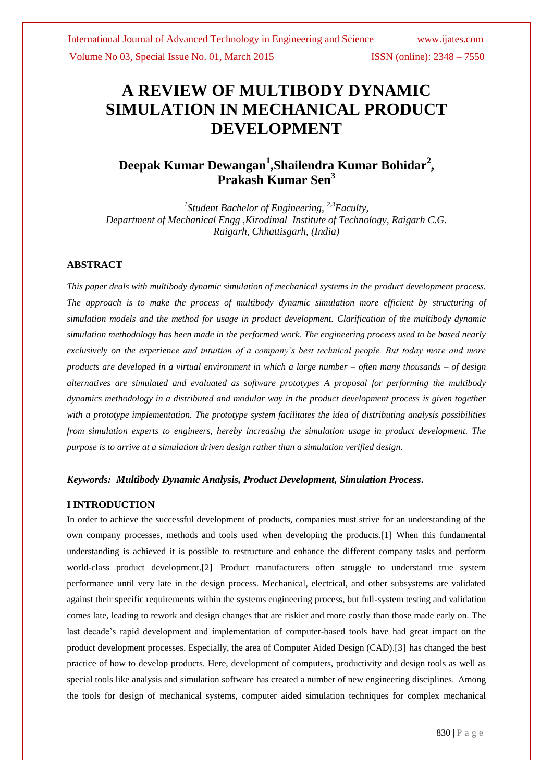# **A REVIEW OF MULTIBODY DYNAMIC SIMULATION IN MECHANICAL PRODUCT DEVELOPMENT**

# **Deepak Kumar Dewangan<sup>1</sup> ,Shailendra Kumar Bohidar<sup>2</sup> , Prakash Kumar Sen<sup>3</sup>**

*1 Student Bachelor of Engineering, 2,3Faculty, Department of Mechanical Engg ,Kirodimal Institute of Technology, Raigarh C.G. Raigarh, Chhattisgarh, (India)*

# **ABSTRACT**

*This paper deals with multibody dynamic simulation of mechanical systems in the product development process. The approach is to make the process of multibody dynamic simulation more efficient by structuring of simulation models and the method for usage in product development. Clarification of the multibody dynamic simulation methodology has been made in the performed work. The engineering process used to be based nearly exclusively on the experience and intuition of a company's best technical people. But today more and more products are developed in a virtual environment in which a large number – often many thousands – of design alternatives are simulated and evaluated as software prototypes A proposal for performing the multibody dynamics methodology in a distributed and modular way in the product development process is given together with a prototype implementation. The prototype system facilitates the idea of distributing analysis possibilities from simulation experts to engineers, hereby increasing the simulation usage in product development. The purpose is to arrive at a simulation driven design rather than a simulation verified design.*

#### *Keywords: Multibody Dynamic Analysis, Product Development, Simulation Process.*

### **I INTRODUCTION**

In order to achieve the successful development of products, companies must strive for an understanding of the own company processes, methods and tools used when developing the products.[1] When this fundamental understanding is achieved it is possible to restructure and enhance the different company tasks and perform world-class product development.[2] Product manufacturers often struggle to understand true system performance until very late in the design process. Mechanical, electrical, and other subsystems are validated against their specific requirements within the systems engineering process, but full-system testing and validation comes late, leading to rework and design changes that are riskier and more costly than those made early on. The last decade's rapid development and implementation of computer-based tools have had great impact on the product development processes. Especially, the area of Computer Aided Design (CAD).[3] has changed the best practice of how to develop products. Here, development of computers, productivity and design tools as well as special tools like analysis and simulation software has created a number of new engineering disciplines. Among the tools for design of mechanical systems, computer aided simulation techniques for complex mechanical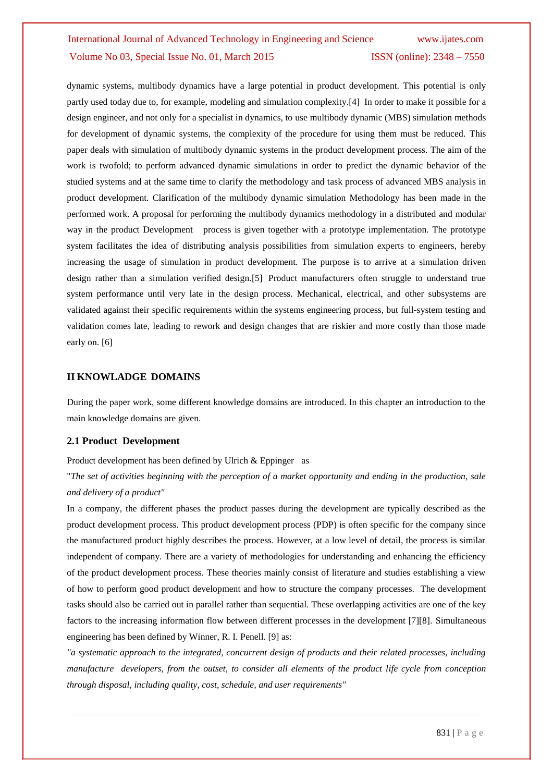dynamic systems, multibody dynamics have a large potential in product development. This potential is only partly used today due to, for example, modeling and simulation complexity.[4] In order to make it possible for a design engineer, and not only for a specialist in dynamics, to use multibody dynamic (MBS) simulation methods for development of dynamic systems, the complexity of the procedure for using them must be reduced. This paper deals with simulation of multibody dynamic systems in the product development process. The aim of the work is twofold; to perform advanced dynamic simulations in order to predict the dynamic behavior of the studied systems and at the same time to clarify the methodology and task process of advanced MBS analysis in product development. Clarification of the multibody dynamic simulation Methodology has been made in the performed work. A proposal for performing the multibody dynamics methodology in a distributed and modular way in the product Development process is given together with a prototype implementation. The prototype system facilitates the idea of distributing analysis possibilities from simulation experts to engineers, hereby increasing the usage of simulation in product development. The purpose is to arrive at a simulation driven design rather than a simulation verified design.[5] Product manufacturers often struggle to understand true system performance until very late in the design process. Mechanical, electrical, and other subsystems are validated against their specific requirements within the systems engineering process, but full-system testing and validation comes late, leading to rework and design changes that are riskier and more costly than those made early on. [6]

### **II KNOWLADGE DOMAINS**

During the paper work, some different knowledge domains are introduced. In this chapter an introduction to the main knowledge domains are given.

#### **2.1 Product Development**

Product development has been defined by Ulrich & Eppinger as

"*The set of activities beginning with the perception of a market opportunity and ending in the production, sale and delivery of a product"*

In a company, the different phases the product passes during the development are typically described as the product development process. This product development process (PDP) is often specific for the company since the manufactured product highly describes the process. However, at a low level of detail, the process is similar independent of company. There are a variety of methodologies for understanding and enhancing the efficiency of the product development process. These theories mainly consist of literature and studies establishing a view of how to perform good product development and how to structure the company processes. The development tasks should also be carried out in parallel rather than sequential. These overlapping activities are one of the key factors to the increasing information flow between different processes in the development [7][8]. Simultaneous engineering has been defined by Winner, R. I. Penell. [9] as:

*"a systematic approach to the integrated, concurrent design of products and their related processes, including manufacture developers, from the outset, to consider all elements of the product life cycle from conception through disposal, including quality, cost, schedule, and user requirements"*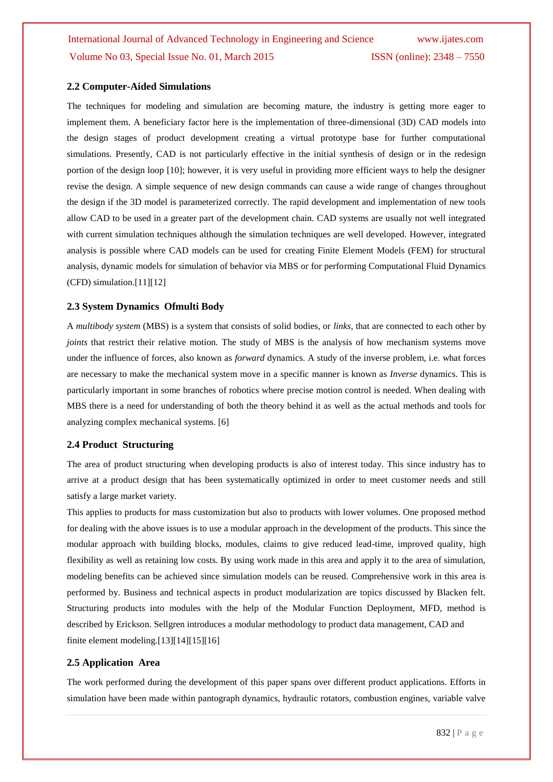# **2.2 Computer-Aided Simulations**

The techniques for modeling and simulation are becoming mature, the industry is getting more eager to implement them. A beneficiary factor here is the implementation of three-dimensional (3D) CAD models into the design stages of product development creating a virtual prototype base for further computational simulations. Presently, CAD is not particularly effective in the initial synthesis of design or in the redesign portion of the design loop [10]; however, it is very useful in providing more efficient ways to help the designer revise the design. A simple sequence of new design commands can cause a wide range of changes throughout the design if the 3D model is parameterized correctly. The rapid development and implementation of new tools allow CAD to be used in a greater part of the development chain. CAD systems are usually not well integrated with current simulation techniques although the simulation techniques are well developed. However, integrated analysis is possible where CAD models can be used for creating Finite Element Models (FEM) for structural analysis, dynamic models for simulation of behavior via MBS or for performing Computational Fluid Dynamics (CFD) simulation.[11][12]

### **2.3 System Dynamics Ofmulti Body**

A *multibody system* (MBS) is a system that consists of solid bodies, or *links*, that are connected to each other by *joints* that restrict their relative motion. The study of MBS is the analysis of how mechanism systems move under the influence of forces, also known as *forward* dynamics. A study of the inverse problem, i.e. what forces are necessary to make the mechanical system move in a specific manner is known as *Inverse* dynamics. This is particularly important in some branches of robotics where precise motion control is needed. When dealing with MBS there is a need for understanding of both the theory behind it as well as the actual methods and tools for analyzing complex mechanical systems. [6]

### **2.4 Product Structuring**

The area of product structuring when developing products is also of interest today. This since industry has to arrive at a product design that has been systematically optimized in order to meet customer needs and still satisfy a large market variety.

This applies to products for mass customization but also to products with lower volumes. One proposed method for dealing with the above issues is to use a modular approach in the development of the products. This since the modular approach with building blocks, modules, claims to give reduced lead-time, improved quality, high flexibility as well as retaining low costs. By using work made in this area and apply it to the area of simulation, modeling benefits can be achieved since simulation models can be reused. Comprehensive work in this area is performed by. Business and technical aspects in product modularization are topics discussed by Blacken felt. Structuring products into modules with the help of the Modular Function Deployment, MFD, method is described by Erickson. Sellgren introduces a modular methodology to product data management, CAD and finite element modeling.[13][14][15][16]

#### **2.5 Application Area**

The work performed during the development of this paper spans over different product applications. Efforts in simulation have been made within pantograph dynamics, hydraulic rotators, combustion engines, variable valve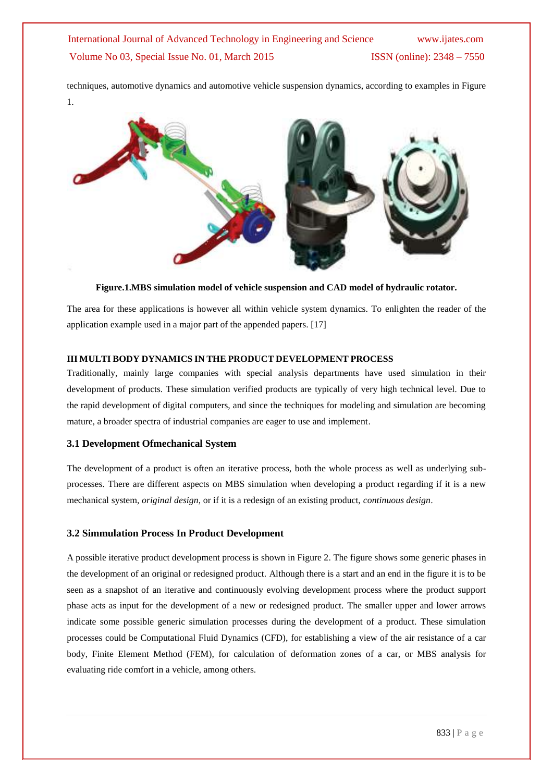techniques, automotive dynamics and automotive vehicle suspension dynamics, according to examples in Figure 1.



**Figure.1.MBS simulation model of vehicle suspension and CAD model of hydraulic rotator.**

The area for these applications is however all within vehicle system dynamics. To enlighten the reader of the application example used in a major part of the appended papers. [17]

# **III MULTI BODY DYNAMICS IN THE PRODUCT DEVELOPMENT PROCESS**

Traditionally, mainly large companies with special analysis departments have used simulation in their development of products. These simulation verified products are typically of very high technical level. Due to the rapid development of digital computers, and since the techniques for modeling and simulation are becoming mature, a broader spectra of industrial companies are eager to use and implement.

# **3.1 Development Ofmechanical System**

The development of a product is often an iterative process, both the whole process as well as underlying subprocesses. There are different aspects on MBS simulation when developing a product regarding if it is a new mechanical system, *original design*, or if it is a redesign of an existing product, *continuous design*.

# **3.2 Simmulation Process In Product Development**

A possible iterative product development process is shown in Figure 2. The figure shows some generic phases in the development of an original or redesigned product. Although there is a start and an end in the figure it is to be seen as a snapshot of an iterative and continuously evolving development process where the product support phase acts as input for the development of a new or redesigned product. The smaller upper and lower arrows indicate some possible generic simulation processes during the development of a product. These simulation processes could be Computational Fluid Dynamics (CFD), for establishing a view of the air resistance of a car body, Finite Element Method (FEM), for calculation of deformation zones of a car, or MBS analysis for evaluating ride comfort in a vehicle, among others.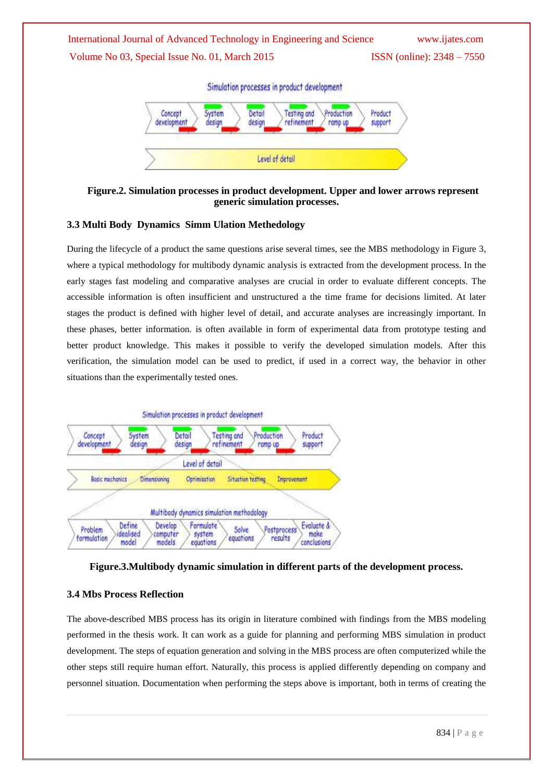

**Figure.2. Simulation processes in product development. Upper and lower arrows represent generic simulation processes.**

# **3.3 Multi Body Dynamics Simm Ulation Methedology**

During the lifecycle of a product the same questions arise several times, see the MBS methodology in Figure 3, where a typical methodology for multibody dynamic analysis is extracted from the development process. In the early stages fast modeling and comparative analyses are crucial in order to evaluate different concepts. The accessible information is often insufficient and unstructured a the time frame for decisions limited. At later stages the product is defined with higher level of detail, and accurate analyses are increasingly important. In these phases, better information. is often available in form of experimental data from prototype testing and better product knowledge. This makes it possible to verify the developed simulation models. After this verification, the simulation model can be used to predict, if used in a correct way, the behavior in other situations than the experimentally tested ones.





# **3.4 Mbs Process Reflection**

The above-described MBS process has its origin in literature combined with findings from the MBS modeling performed in the thesis work. It can work as a guide for planning and performing MBS simulation in product development. The steps of equation generation and solving in the MBS process are often computerized while the other steps still require human effort. Naturally, this process is applied differently depending on company and personnel situation. Documentation when performing the steps above is important, both in terms of creating the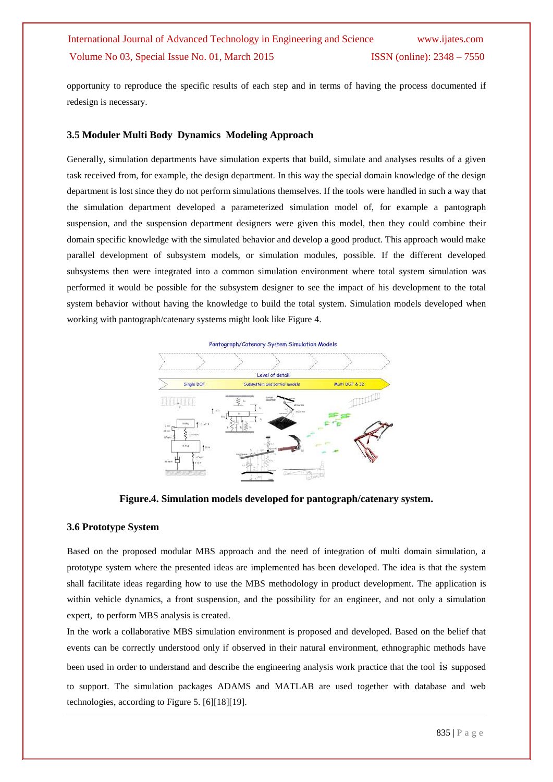opportunity to reproduce the specific results of each step and in terms of having the process documented if redesign is necessary.

### **3.5 Moduler Multi Body Dynamics Modeling Approach**

Generally, simulation departments have simulation experts that build, simulate and analyses results of a given task received from, for example, the design department. In this way the special domain knowledge of the design department is lost since they do not perform simulations themselves. If the tools were handled in such a way that the simulation department developed a parameterized simulation model of, for example a pantograph suspension, and the suspension department designers were given this model, then they could combine their domain specific knowledge with the simulated behavior and develop a good product. This approach would make parallel development of subsystem models, or simulation modules, possible. If the different developed subsystems then were integrated into a common simulation environment where total system simulation was performed it would be possible for the subsystem designer to see the impact of his development to the total system behavior without having the knowledge to build the total system. Simulation models developed when working with pantograph/catenary systems might look like Figure 4.



**Figure.4. Simulation models developed for pantograph/catenary system.**

### **3.6 Prototype System**

Based on the proposed modular MBS approach and the need of integration of multi domain simulation, a prototype system where the presented ideas are implemented has been developed. The idea is that the system shall facilitate ideas regarding how to use the MBS methodology in product development. The application is within vehicle dynamics, a front suspension, and the possibility for an engineer, and not only a simulation expert, to perform MBS analysis is created.

In the work a collaborative MBS simulation environment is proposed and developed. Based on the belief that events can be correctly understood only if observed in their natural environment, ethnographic methods have been used in order to understand and describe the engineering analysis work practice that the tool is supposed to support. The simulation packages ADAMS and MATLAB are used together with database and web technologies, according to Figure 5. [6][18][19].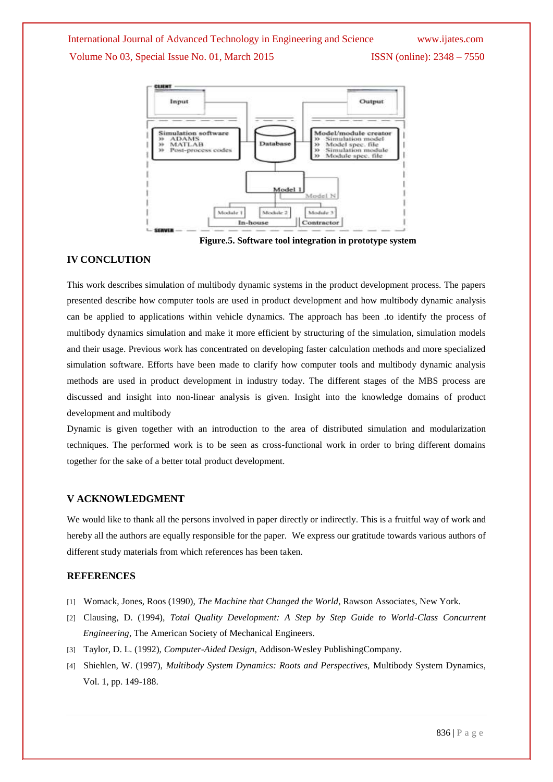

**Figure.5. Software tool integration in prototype system**

### **IV CONCLUTION**

This work describes simulation of multibody dynamic systems in the product development process. The papers presented describe how computer tools are used in product development and how multibody dynamic analysis can be applied to applications within vehicle dynamics. The approach has been .to identify the process of multibody dynamics simulation and make it more efficient by structuring of the simulation, simulation models and their usage. Previous work has concentrated on developing faster calculation methods and more specialized simulation software. Efforts have been made to clarify how computer tools and multibody dynamic analysis methods are used in product development in industry today. The different stages of the MBS process are discussed and insight into non-linear analysis is given. Insight into the knowledge domains of product development and multibody

Dynamic is given together with an introduction to the area of distributed simulation and modularization techniques. The performed work is to be seen as cross-functional work in order to bring different domains together for the sake of a better total product development.

#### **V ACKNOWLEDGMENT**

We would like to thank all the persons involved in paper directly or indirectly. This is a fruitful way of work and hereby all the authors are equally responsible for the paper. We express our gratitude towards various authors of different study materials from which references has been taken.

### **REFERENCES**

- [1] Womack, Jones, Roos (1990), *The Machine that Changed the World*, Rawson Associates, New York.
- [2] Clausing, D. (1994), *Total Quality Development: A Step by Step Guide to World-Class Concurrent Engineering*, The American Society of Mechanical Engineers.
- [3] Taylor, D. L. (1992), *Computer-Aided Design*, Addison-Wesley PublishingCompany.
- [4] Shiehlen, W. (1997), *Multibody System Dynamics: Roots and Perspectives,* Multibody System Dynamics, Vol. 1, pp. 149-188.